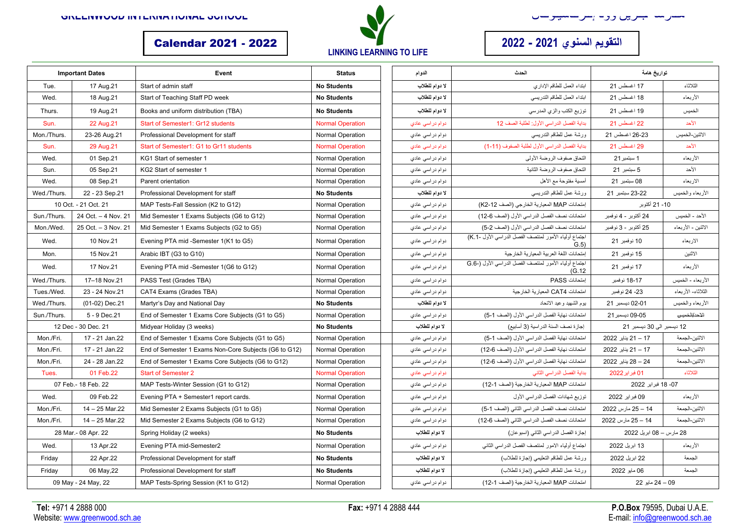



## **یوقتلا يونسلا م 2021 - 2022** 2022 - 2021 Calendar

| <b>Important Dates</b> |                     | Event                                                 | <b>Status</b>           | الدوام            | الحدث                                                           | تواريخ هامة                |                         |
|------------------------|---------------------|-------------------------------------------------------|-------------------------|-------------------|-----------------------------------------------------------------|----------------------------|-------------------------|
| Tue.                   | 17 Aug.21           | Start of admin staff                                  | <b>No Students</b>      | لا دوام للطلاب    | ابتداء العمل للطاقم الإدارى                                     | 17 اغسطس 21                | الثلاثاء                |
| Wed.                   | 18 Aug.21           | Start of Teaching Staff PD week                       | <b>No Students</b>      | لا دوام للطلاب    | ابتداء العمل للطاقم التدريسي                                    | 18 اغسطس 21                | الأربعاء                |
| Thurs.                 | 19 Aug.21           | Books and uniform distribution (TBA)                  | <b>No Students</b>      | لا دوام للطلاب    | توزيع الكتب والزي المدرسي                                       | 19 اغسطس 21                | الخميس                  |
| Sun.                   | 22 Aug.21           | <b>Start of Semester1: Gr12 students</b>              | <b>Normal Operation</b> | دوام دراسي عادي   | بداية الفصل الدراسي الأول: لطلبة الصف 12                        | 22 اغسطس 21                | الأحد                   |
| Mon./Thurs             | 23-26 Aug.21        | Professional Development for staff                    | <b>Normal Operation</b> | دو ام در اسی عادي | ورشة عمل للطاقم التدريسي                                        | 26-23 اغسطس 21             | الاثنين-الخميس          |
| Sun.                   | 29 Aug.21           | Start of Semester1: G1 to Gr11 students               | <b>Normal Operation</b> | دوام در اسی عادی  | بداية الفصل الدراسي الأول لطلبة الصفوف (11-1)                   | 29 اغسطس 21                | الأحد                   |
| Wed.                   | 01 Sep.21           | KG1 Start of semester 1                               | <b>Normal Operation</b> | دو ام در اسي عادي | التحاق صفوف الروضة الأولمي                                      | 1 سبتمبر 21                | الأربعاء                |
| Sun.                   | 05 Sep.21           | KG2 Start of semester 1                               | <b>Normal Operation</b> | دوام در اسي عادي  | التحاق صفوف الروضة الثانية                                      | 5 سبتمبر 21                | الأحد                   |
| Wed.                   | 08 Sep.21           | Parent orientation                                    | <b>Normal Operation</b> | دو ام در اسي عادي | أمسية مفتوحة مع الأهل                                           | 08 سبتمبر 21               | الاربعاء                |
| Wed./Thurs.            | 22 - 23 Sep.21      | Professional Development for staff                    | <b>No Students</b>      | لا دوام للطلاب    | ورشة عمل للطاقم التدريسي                                        | 22-23 سبتمبر 21            | الأربعاء والخميس        |
| 10 Oct. - 21 Oct. 21   |                     | MAP Tests-Fall Session (K2 to G12)                    | <b>Normal Operation</b> | دو ام در اسي عادي | إمتحانات MAP المعيارية الخارجي (الصف K2-12)                     | 10- 21 أكتوبر              |                         |
| Sun./Thurs.            | 24 Oct. - 4 Nov. 21 | Mid Semester 1 Exams Subjects (G6 to G12)             | <b>Normal Operation</b> | دو ام در اسی عادی | امتحانات نصف الفصل الدراسي الأول (الصف 6-12)                    | 24 أكتوبر - 4 نوفمبر       | الأحد - الخميس          |
| Mon./Wed.              | 25 Oct. - 3 Nov. 21 | Mid Semester 1 Exams Subjects (G2 to G5)              | <b>Normal Operation</b> | دو ام در اسی عادی | امتحانات نصف الفصل الدر اسى الأول (الصف 2-5)                    | 25 أكتوبر - 3 نوفمبر       | الاثنين - الأربعاء      |
| Wed.                   | 10 Nov.21           | Evening PTA mid -Semester 1(K1 to G5)                 | <b>Normal Operation</b> | دو ام در اسی عادی | اجتماع أولياء الأمور لمنتصف الفصل الدراسي الأول -1.K)<br>(G.5)  | 10 نوفمبر 21               | الار بعاء               |
| Mon.                   | 15 Nov.21           | Arabic IBT (G3 to G10)                                | <b>Normal Operation</b> | دو ام در اسی عادي | إمتحانات اللغة العربية المعيارية الخارجية                       | 15 نوفمبر 21               | الاثنين                 |
| Wed.                   | 17 Nov.21           | Evening PTA mid -Semester 1(G6 to G12)                | <b>Normal Operation</b> | دو ام در اسی عادی | اجتماع أولياء الأمور لمنتصف الفصل الدراسي الأول (-G.6<br>(G.12) | 17 نوفمبر 21               | الأربعاء                |
| Wed./Thurs.            | 17-18 Nov.21        | PASS Test (Grades TBA)                                | Normal Operation        | دو ام در اسی عادی | إمتحانات PASS                                                   | 18-17 نوفمبر               | الأربعاء - الخميس       |
| Tues./Wed.             | 23 - 24 Nov.21      | CAT4 Exams (Grades TBA)                               | Normal Operation        | دو ام در اسی عادی | امتحانات CAT4 المعيار ية الخار جية                              | 23- 24 نوفمبر              | الثلاثاء- الأربعاء      |
| Wed./Thurs.            | (01-02) Dec.21      | Martyr's Day and National Day                         | <b>No Students</b>      | لا دوام للطلاب    | يوم الشهيد وعيد الاتحاد                                         | 02-01 ديسمبر 21            | الأربعاء والخميس        |
| Sun./Thurs.            | 5 - 9 Dec.21        | End of Semester 1 Exams Core Subjects (G1 to G5)      | <b>Normal Operation</b> | دو ام در اسی عادی | امتحانات نهاية الفصل الدراسي الأول (الصف 1-5)                   | 09-05 ديسمبر 21            | <del>الإحد/الخميس</del> |
| 12 Dec - 30 Dec. 21    |                     | Midyear Holiday (3 weeks)                             | <b>No Students</b>      | لا دوام للطلاب    | إجازة نصف السنة الدر اسية (3 أسابيع)                            | 12 دیسمبر الی 30 دیسمبر 21 |                         |
| Mon./Fri.              | 17 - 21 Jan.22      | End of Semester 1 Exams Core Subjects (G1 to G5)      | Normal Operation        | دو ام در اسی عادي | امتحانات نهاية الفصل الدراسي الأول (الصف 1-5)                   | 17 – 21 بِناير 2022        | الاثنين-الجمعة          |
| Mon./Fri.              | 17 - 21 Jan.22      | End of Semester 1 Exams Non-Core Subjects (G6 to G12) | <b>Normal Operation</b> | دو ام در اسی عادي | امتحانات نهاية الفصل الدراسي الأول (الصف 6-12)                  | 17 – 21 بِناير 2022        | الاثنين-الجمعة          |
| Mon./Fri.              | 24 - 28 Jan.22      | End of Semester 1 Exams Core Subjects (G6 to G12)     | Normal Operation        | دو ام در اسی عادی | امتحانات نهاية الفصل الدراسي الأول (الصف 6-12)                  | 24 – 28 بِناير 2022        | الاثنين-الجمعة          |
| Tues.                  | 01 Feb.22           | <b>Start of Semester 2</b>                            | <b>Normal Operation</b> | دوام دراسي عادي   | بداية الفصل الدراسي الثاني                                      | 01 فبراير 2022             | الثلاثاء                |
| 07 Feb.- 18 Feb. 22    |                     | MAP Tests-Winter Session (G1 to G12)                  | Normal Operation        | دو ام در اسی عادي | امتحانات MAP المعيارية الخارجية (الصف 1-12)                     | 07- 18 فبراير 2022         |                         |
| Wed.                   | 09 Feb.22           | Evening PTA + Semester1 report cards.                 | <b>Normal Operation</b> | دو ام در اسی عادي | توزيع شهادات الفصل الدراسي الأول                                | 09 فبر اير 2022            | الأربعاء                |
| Mon./Fri.              | 14 - 25 Mar.22      | Mid Semester 2 Exams Subjects (G1 to G5)              | <b>Normal Operation</b> | دو ام در اسی عادي | امتحانات نصف الفصل الدراسي الثاني (الصف 1-5)                    | 14 – 25 مارس 2022          | الاثنين-الجمعة          |
| Mon./Fri.              | 14 - 25 Mar.22      | Mid Semester 2 Exams Subjects (G6 to G12)             | <b>Normal Operation</b> | دو ام در اسي عادي | امتحانات نصف الفصل الدراسي الثاني (الصف 6-12)                   | 14 – 25 مارس 2022          | الاثنين-الجمعة          |
| 28 Mar.- 08 Apr. 22    |                     | Spring Holiday (2 weeks)                              | <b>No Students</b>      | لا دوام للطلاب    | إجازة الفصل الدراسي الثاني (اسبو عان)                           | 28 مارس – 08 ابریل 2022    |                         |
| Wed.                   | 13 Apr.22           | Evening PTA mid-Semester2                             | <b>Normal Operation</b> | دو ام در اسی عادی | اجتماع أولياء الامور لمنتصف الفصل الدراسي الثاني                | 13 ابریل 2022              | الأربعاء                |
| Friday                 | 22 Apr.22           | Professional Development for staff                    | <b>No Students</b>      | لا دوام للطلاب    | ورشة عمل للطاقم التعليمي (إجازة للطلاب)                         | 22 ابریل 2022              | الجمعة                  |
| Fridav                 | 06 May, 22          | Professional Development for staff                    | <b>No Students</b>      | لا دوام للطلاب    | ورشة عمل للطاقم التعليمي (إجازة للطلاب)                         | 06 مايو 2022               | الجمعة                  |
| 09 May - 24 May, 22    |                     | MAP Tests-Spring Session (K1 to G12)                  | Normal Operation        | دو ام در اسی عادی | امتحانات MAP المعيارية الخارجية (الصف 1-12)                     | 09 – 24 مايو 22            |                         |